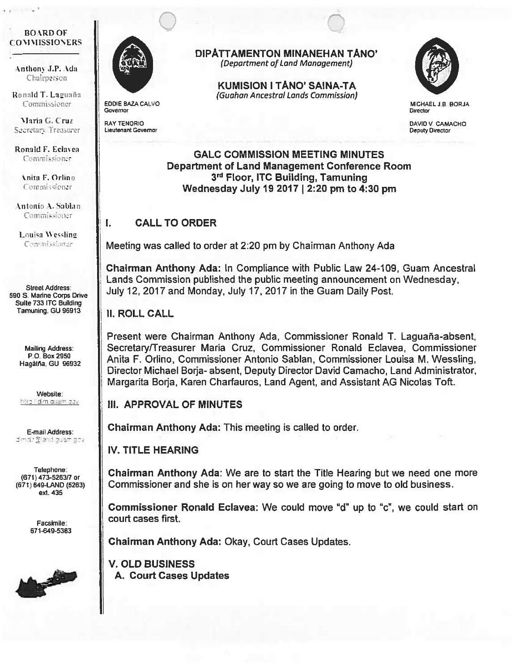#### **BOARD OF** COMMISSIONERS

Anthony J.P. Ada Chairperson

Ronald T. Laguaña Commissioner

Maria G. Cruz Secretary Treasurer

Ronald F. Eclavea Commissioner

> nita F. Orlino Commissioner

kntonio &. Sablan Commissioner

Louisa Wessling Commissioner

Street Address: 590 S. Marine Corps Drive Suite 733 ITC Building Tamuning, Cu 96913

> Mailing Address: P.O. Box 2950 Hagåtña, GU 96932

Website: http // dim quam gav

**E-mail Address:**<br>directing:land.guam.gov

Telephone: (671) 473-526317 or (671) 649-LAND (5263) ext. 435

> Facsimile: 671-649-5383





EDDIE BAZA CALVO **Governor** 

RAY TENORIC Lieutenant Governor

I.

DIPATTAMENTON MINANEHAN TANO' (Department of Land Management)

> KUMISION <sup>I</sup> TANO' SAINA-TA (Guahan Ancestral Lands Commission)



MICHAEL lB BORJA **Director** 

DAVID V. CAMACHO Deputy Director

GALC COMMISSION MEETING MINUTES Department of Land Management Conference Room 3<sup>rd</sup> Floor, ITC Building, Tamuning Wednesday July 19 2017 <sup>I</sup> 2:20 pm to 4:30 pm

# CALL TO ORDER

Meeting was called to order at 2:20 pm by Chairman Anthony Ada

Chairman Anthony Ada: In Compliance with Public Law 24-1 09, Guam Ancestral Lands Commission published the public meeting announcement on Wednesday, July 12, 2017 and Monday, July 17, 2017 in the Guam Daily Post.

## II. ROLL CALL

Present were Chairman Anthony Ada, Commissioner Ronald T. Laguaña-absent, Secretary/Treasurer Maria Cruz, Commissioner Ronald Eclavea, Commissioner Anita F. Orlino, Commissioner Antonio Sablan, Commissioner Louisa M. Wessling, Director Michael Borja- absent, Deputy Director David Camacho, Land Administrator, Margarita Borja, Karen Charfauros, Land Agent, and Assistant AG Nicolas Toft.

# Ill. APPROVAL OF MINUTES

Chairman Anthony Ada: This meeting is called to order

IV. TITLE HEARING

Chairman Anthony Ada: We are to start the Title Hearing but we need one more Commissioner and she is on her way so we are going to move to old business.

Commissioner Ronald Eclavea: We could move "d" up to 'c", we could start on court cases first.

Chairman Anthony Ada: Okay, Court Cases Updates.

V. OLD BUSINESS A. Court Cases Updates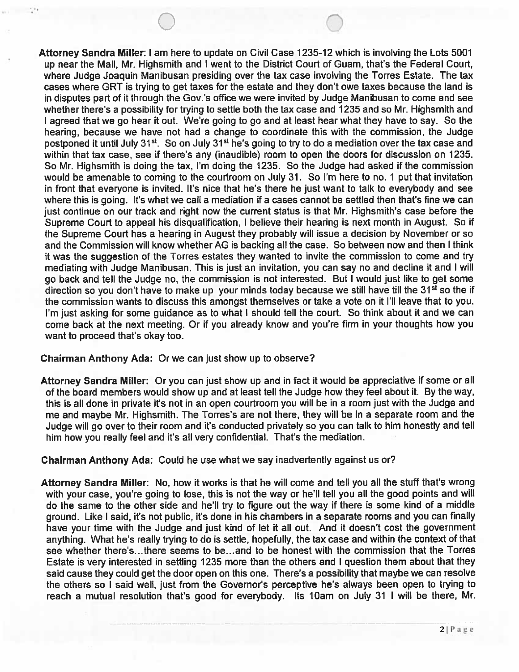Attorney Sandra Miller: <sup>I</sup> am here to update on Civil Case 1235-12 which is involving the Lots 5001 up near the Mall, Mr. Highsmith and <sup>I</sup> went to the District Court of Guam, that's the Federal Court, where Judge Joaquin Manibusan presiding over the tax case involving the Torres Estate. The tax cases where GRT is trying to get taxes for the estate and they don't owe taxes because the land is in disputes part of it through the Gov.'s office we were invited by Judge Manibusan to come and see whether there's a possibility for trying to settle both the tax case and 1235 and so Mr. Highsmith and <sup>I</sup> agreed that we go hear it out. We're going to go and at least hear what they have to say. So the hearing, because we have not had a change to coordinate this with the commission, the Judge postponed it until July 31<sup>st</sup>. So on July 31<sup>st</sup> he's going to try to do a mediation over the tax case and within that tax case, see if there's any (inaudible) room to open the doors for discussion on 1235. So Mr. Highsmith is doing the tax, I'm doing the 1235. So the Judge had asked if the commission would be amenable to coming to the courtroom on July 31. So I'm here to no. <sup>1</sup> put that invitation in front that everyone is invited. It's nice that he's there he just want to talk to everybody and see where this is going. It's what we call a mediation if a cases cannot be settled then that's fine we can just continue on our track and right now the current status is that Mr. Highsmith's case before the Supreme Court to appeal his disqualification, <sup>I</sup> believe their hearing is next month in August. So if the Supreme Court has a hearing in August they probably will issue a decision by November or so and the Commission will know whether AG is backing all the case. So between now and then <sup>I</sup> think it was the suggestion of the Torres estates they wanted to invite the commission to come and try mediating with Judge Manibusan. This is just an invitation, you can say no and decline it and <sup>I</sup> will go back and tell the Judge no, the commission is not interested. But <sup>I</sup> would just like to get some direction so you don't have to make up your minds today because we still have till the 31<sup>st</sup> so the if the commission wants to discuss this amongst themselves or take a vote on it I'll leave that to you. I'm just asking for some guidance as to what I should tell the court. So think about it and we can come back at the next meeting. Or if you already know and you're firm in your thoughts how you want to proceed that's okay too.

### Chairman Anthony Ada: Or we can just show up to observe?

Attorney Sandra Miller: Or you can just show up and in fact it would be appreciative if some or all of the board members would show up and at least tell the Judge how they feel about it. By the way, this is all done in private it's not in an open courtroom you will be in a room just with the Judge and me and maybe Mr. Highsmith. The Torres's are not there, they will be in a separate room and the Judge will go over to their room and it's conducted privately so you can talk to him honestly and tell him how you really feel and it's all very confidential. That's the mediation.

Chairman Anthony Ada: Could he use what we say inadvertently against us or?

Attorney Sandra Miller: No, how it works is that he will come and tell you all the stuff that's wrong with your case, you're going to lose, this is not the way or he'll tell you all the good points and will do the same to the other side and he'll try to figure out the way if there is some kind of a middle ground. Like <sup>I</sup> said, it's not public, it's done in his chambers in a separate rooms and you can finally have your time with the Judge and just kind of let it all out. And it doesn't cost the government anything. What he's really trying to do is settle, hopefully, the tax case and within the context of that see whether there's.. .there seems to be... and to be honest with the commission that the Torres Estate is very interested in settling 1235 more than the others and <sup>I</sup> question them about that they said cause they could get the door open on this one. There's a possibility that maybe we can resolve the others so <sup>I</sup> said well, just from the Governor's perceptive he's always been open to trying to reach a mutual resolution that's good for everybody. Its lOam on July <sup>31</sup> <sup>I</sup> will be there, Mr.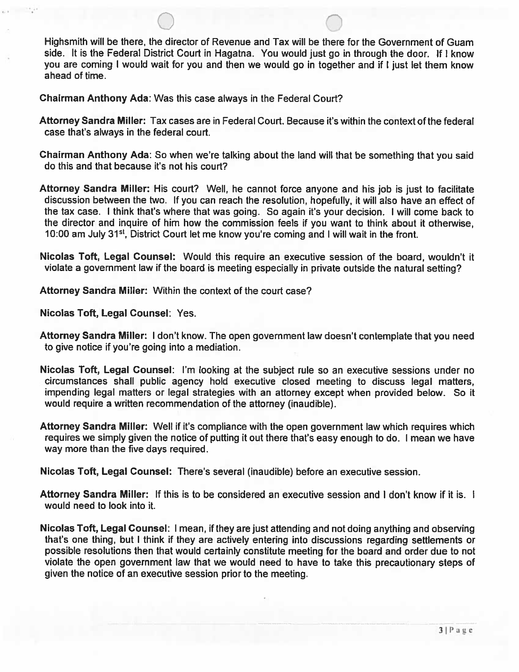Highsmith will be there, the director of Revenue and Tax will be there for the Government of Guam side. It is the Federal District Court in Hagatna. You would just go in through the door. If <sup>I</sup> know you are coming <sup>I</sup> would wait for you and then we would go in together and if <sup>I</sup> just let them know ahead of time.

Chairman Anthony Ada: Was this case always in the Federal Court?

- Attorney Sandra Miller: Tax cases are in Federal Court. Because it's within the context of the federal case that's always in the federal court.
- Chairman Anthony Ada: So when we're talking about the land will that be something that you said do this and that because it's not his court?
- Attorney Sandra Miller: His court? Well, he cannot force anyone and his job is just to facilitate discussion between the two. If you can reach the resolution, hopefully, it will also have an effect of the tax case. <sup>I</sup> think that's where that was going. So again it's your decision. <sup>I</sup> will come back to the director and inquire of him how the commission feels if you want to think about it otherwise, 10:00 am July 31<sup>st</sup>, District Court let me know you're coming and I will wait in the front.
- Nicolas Taft, Legal Counsel: Would this require an executive session of the board, wouldn't it violate a government law if the board is meeting especially in private outside the natural setting?
- Attorney Sandra Miller: Within the context of the court case?

Nicolas Taft, Legal Counsel: Yes.

- Attorney Sandra Miller: <sup>I</sup> don't know. The open government law doesn't contemplate that you need to give notice if you're going into a mediation.
- Nicolas Toft, Legal Counsel: I'm looking at the subject rule so an executive sessions under no circumstances shall public agency hold executive closed meeting to discuss legal matters, impending legal matters or legal strategies with an attorney except when provided below. So it would require a written recommendation of the attorney (inaudible).
- Attorney Sandra Miller: Well if it's compliance with the open government law which requires which requires we simply given the notice of puffing it out there that's easy enough to do. <sup>I</sup> mean we have way more than the five days required.

Nicolas Toft, Legal Counsel: There's several (inaudible) before an executive session.

- Attorney Sandra Miller: If this is to be considered an executive session and <sup>I</sup> don't know if it is. <sup>I</sup> would need to look into it.
- Nicolas Taft, Legal Counsel: <sup>I</sup> mean, if they are just attending and not doing anything and observing that's one thing, but <sup>I</sup> think if they are actively entering into discussions regarding settlements or possible resolutions then that would certainly constitute meeting for the board and order due to not violate the open government law that we would need to have to take this precautionary steps of given the notice of an executive session prior to the meeting.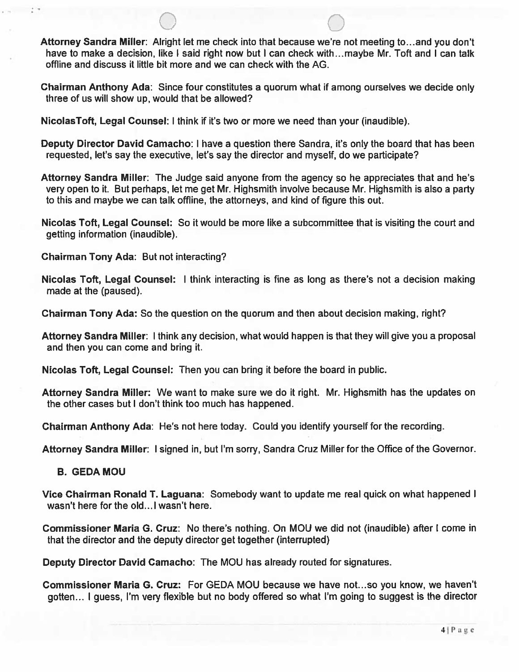Attorney Sandra Miller: Alright let me check into that because we're not meeting to.. .and you don't have to make a decision, like I said right now but I can check with...maybe Mr. Toft and I can talk offline and discuss it little bit more and we can check with the AG.

Chairman Anthony Ada: Since four constitutes a quorum what if among ourselves we decide only three of us will show up, would that be allowed?

NicolasToft, Legal Counsel: <sup>I</sup> think if it's two or more we need than your (inaudible).

Deputy Director David Camacho: <sup>I</sup> have a question there Sandra, it's only the board that has been requested, let's say the executive, let's say the director and myself, do we participate?

Attorney Sandra Miller: The Judge said anyone from the agency so he appreciates that and he's very open to it. But perhaps, let me get Mr. Highsmith involve because Mr. Highsmith is also a party to this and maybe we can talk offline, the attorneys, and kind of figure this out.

Nicolas Toft, Legal Counsel: So it would be more like a subcommittee that is visiting the court and getting information (inaudible).

Chairman Tony Ada: But not interacting?

Nicolas Toft, Legal Counsel: <sup>I</sup> think interacting is fine as long as there's not a decision making made at the (paused).

Chairman Tony Ada: So the question on the quorum and then about decision making, right?

Attorney Sandra Miller: <sup>I</sup> think any decision, what would happen is that they will give you a proposal and then you can come and bring it.

Nicolas Toft, Legal Counsel: Then you can bring it before the board in public.

Attorney Sandra Miller: We want to make sure we do it right. Mr. Highsmith has the updates on the other cases but <sup>I</sup> don't think too much has happened.

Chairman Anthony Ada: He's not here today. Could you identify yourself for the recording.

Attorney Sandra Miller: <sup>I</sup> signed in, but I'm sorry, Sandra Cruz Miller for the Office of the Governor.

B. GEDA MOU

Vice Chairman Ronald T. Laguana: Somebody want to update me real quick on what happened <sup>I</sup> wasn't here for the old... I wasn't here.

Commissioner Maria G. Cruz: No there's nothing. On MOU we did not (inaudible) after <sup>I</sup> come in that the director and the deputy director get together (interrupted)

Deputy Director David Camacho: The MOU has already routed for signatures.

Commissioner Maria G. Cruz: For GEDA MOU because we have not.. .so you know, we haven't gotten... <sup>I</sup> guess, I'm very flexible but no body offered so what I'm going to suggest is the director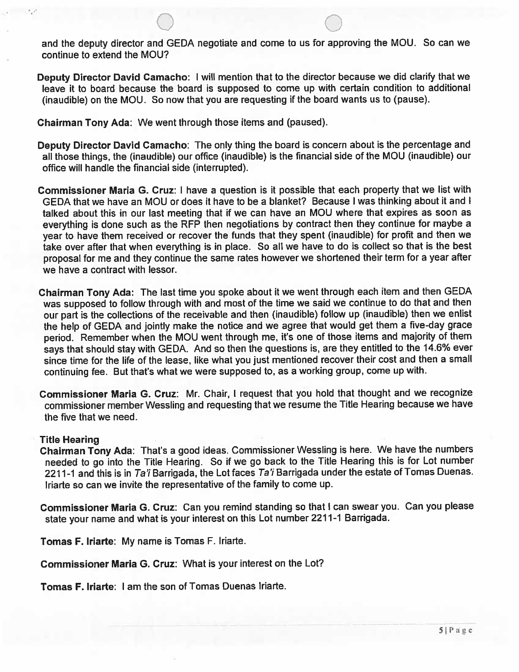and the deputy director and GEDA negotiate and come to us for approving the MOU. So can we continue to extend the MOU?

Deputy Director David Camacho: <sup>I</sup> will mention that to the director because we did clarify that we leave it to board because the board is suppose<sup>d</sup> to come up with certain condition to additional (inaudible) on the MOU. So now that you are requesting if the board wants us to (pause).

Chairman Tony Ada: We went through those items and (paused).

- Deputy Director David Camacho: The only thing the board is concern about is the percentage and all those things, the (inaudible) our office (inaudible) is the financial side of the MOU (inaudible) our office will handle the financial side (interrupted).
- Commissioner Maria G. Cruz: <sup>I</sup> have <sup>a</sup> question is it possible that each property that we list with GEDA that we have an MOU or does it have to be <sup>a</sup> blanket? Because I was thinking about it and I talked about this in our last meeting that if we can have an MOU where that expires as soon as everything is done such as the RFP then negotiations by contract then they continue for maybe <sup>a</sup> year to have them received or recover the funds that they spen<sup>t</sup> (inaudible) for profit and then we take over after that when everything is in <sup>p</sup>lace. So all we have to do is collect so that is the best proposa<sup>l</sup> for me and they continue the same rates however we shortened their term for <sup>a</sup> year after we have <sup>a</sup> contract with lessor.
- Chairman Tony Ada: The last time you spoke about it we went through each item and then GEDA was suppose<sup>d</sup> to follow through with and most of the time we said we continue to do that and then our par<sup>t</sup> is the collections of the receivable and then (inaudible) follow up (inaudible) then we enlist the help of GEDA and jointly make the notice and we agree that would ge<sup>t</sup> them <sup>a</sup> five-day grace period. Remember when the MOU went through me, it's one of those items and majority of them says that should stay with GEDA. And so then the questions is, are they entitled to the 14.6% ever since time for the life of the lease, like what you just mentioned recover their cost and then <sup>a</sup> small continuing fee. But that's what we were suppose<sup>d</sup> to, as <sup>a</sup> working group, come up with.
- Commissioner Maria G. Cruz: Mr. Chair, <sup>I</sup> reques<sup>t</sup> that you hold that thought and we recognize commissioner member Wessling and requesting that we resume the Title Hearing because we have the five that we need.

#### Title Hearing

Chairman Tony Ada: That's <sup>a</sup> goo<sup>d</sup> ideas. Commissioner Wessling is here. We have the numbers needed to go into the Title Hearing. So if we go back to the Title Hearing this is for Lot number 2211-1 and this is in Ta'i Barrigada, the Lot faces Ta'i Barrigada under the estate of Tomas Duenas. Iriarte so can we invite the representative of the family to come up.

Commissioner Maria G. Cruz: Can you remind standing so that <sup>I</sup> can swear you. Can you <sup>p</sup>lease state your name and what is your interest on this Lot number 2211-1 Barrigada.

Tomas F. Iriarte: My name is Tomas F. Iriarte.

Commissioner Maria G. Cruz: What is your interest on the Lot?

Tomas F. Iriarte: I am the son of Tomas Duenas Iriarte.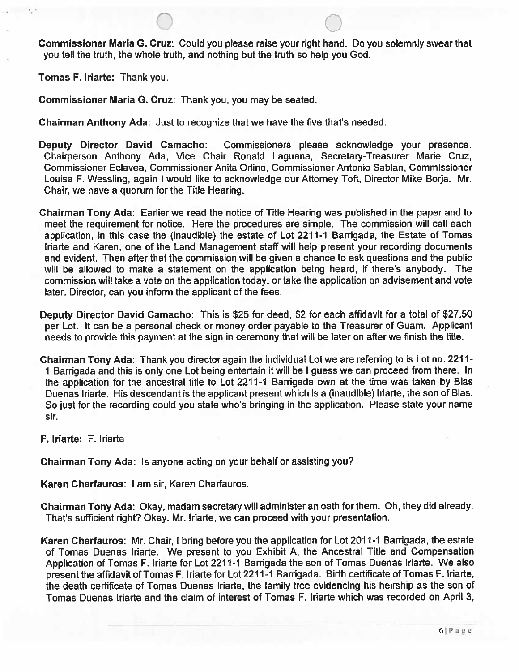Commissioner Maria G. Cruz: Could you please raise your right hand. Do you solemnly swear that you tell the truth, the whole truth, and nothing but the truth so help you God.

Tomas F. Iriarte: Thank you.

Commissioner Maria G. Cruz: Thank you, you may be seated.

Chairman Anthony Ada: Just to recognize that we have the five that's needed.

- Deputy Director David Camacho: Commissioners please acknowledge your presence. Chairperson Anthony Ada, Vice Chair Ronald Laguana, Secretary-Treasurer Marie Cruz, Commissioner Eclavea, Commissioner Anita Orlino, Commissioner Antonio Sablan, Commissioner Louisa F. Wessling, again <sup>I</sup> would like to acknowledge our Attorney Toft, Director Mike Borja. Mr. Chair, we have a quorum for the Title Hearing.
- Chairman Tony Ada: Earlier we read the notice of Title Hearing was published in the paper and to meet the requirement for notice. Here the procedures are simple. The commission will call each application, in this case the (inaudible) the estate of Lot 2211-1 Barrigada, the Estate of Tomas Iriarte and Karen, one of the Land Management staff will help present your recording documents and evident. Then after that the commission will be given a chance to ask questions and the public will be allowed to make a statement on the application being heard, if there's anybody. The commission will take a vote on the application today, or take the application on advisement and vote later. Director, can you inform the applicant of the fees.
- Deputy Director David Camacho: This is \$25 for deed, \$2 for each affidavit for a total of \$27.50 per Lot. It can be a personal check or money order payable to the Treasurer of Guam. Applicant needs to provide this payment at the sign in ceremony that will be later on after we finish the title.
- Chairman Tony Ada: Thank you director again the individual Lot we are referring to is Lot no. 2211- <sup>1</sup> Barrigada and this is only one Lot being entertain it will be <sup>I</sup> guess we can proceed from there. In the application for the ancestral title to Lot 2211-1 Barrigada own at the time was taken by Bias Duenas Iriarte. His descendant is the applicant present which is a (inaudible) Iriarte, the son of Blas. So just for the recording could you state who's bringing in the application. Please state your name sir.

F. Iriarte: F. iriarte

Chairman Tony Ada: Is anyone acting on your behalf or assisting you?

Karen Charfauros: <sup>I</sup> am sir, Karen Charfauros.

Chairman Tony Ada: Okay, madam secretary will administer an oath for them. Oh, they did already. That's sufficient right? Okay. Mr. Iriarte, we can proceed with your presentation.

Karen Charfauros: Mr. Chair, <sup>I</sup> bring before you the application for Lot 2011-1 Barrigada, the estate of Tomas Duenas Iriarte. We present to you Exhibit A, the Ancestral Title and Compensation Application of Tomas F. Iriarte for Lot 2211-1 Barrigada the son of Tomas Duenas Iriarte. We also present the affidavit of Tomas F. Iriarte for Lot 2211-1 Barrigada. Birth certificate of Tomas F. Iriarte, the death certificate of Tomas Duenas Iriarte, the family tree evidencing his heirship as the son of Tomas Duenas Iriarte and the claim of interest of Tomas F. Iriarte which was recorded on April 3,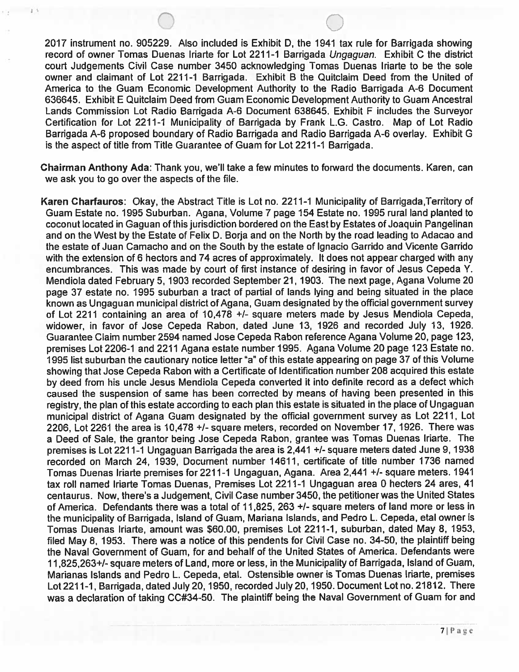2017 instrument no. 905229. Also included is Exhibit D, the 1941 tax rule for Barrigada showing record of owner Tomas Duenas Iriarte for Lot 2211-1 Barrigada Ungaguan. Exhibit C the district court Judgements Civil Case number 3450 acknowledging Tomas Duenas Iriarte to be the sole owner and claimant of Lot 2211-1 Barrigada. Exhibit <sup>B</sup> the Quitclaim Deed from the United of America to the Guam Economic Development Authority to the Radio Barrigada A-6 Document 636645. Exhibit E Quitclaim Deed from Guam Economic Development Authority to Guam Ancestral Lands Commission Lot Radio Barrigada A-6 Document 638645. Exhibit F includes the Surveyor Certification for Lot 2211-1 Municipality of Barrigada by Frank L.G. Castro. Map of Lot Radio Barrigada A-6 proposed boundary of Radio Barrigada and Radio Barrigada A-6 overlay. Exhibit G is the aspect of title from Title Guarantee of Guam for Lot 2211-1 Barrigada.

Chairman Anthony Ada: Thank you, we'll take a few minutes to forward the documents. Karen, can we ask you to go over the aspects of the file.

Karen Charfauros: Okay, the Abstract Title is Lot no. 2211-1 Municipality of Barrigada,Territory of Guam Estate no. 1995 Suburban. Agana, Volume 7 page 154 Estate no. 1995 rural land planted to coconut located in Gaguan of this jurisdiction bordered on the East by Estates of Joaquin Pangelinan and on the West by the Estate of Felix D. Borja and on the North by the road leading to Adacao and the estate of Juan Camacho and on the South by the estate of lgnacio Garrido and Vicente Garrido with the extension of 6 hectors and 74 acres of approximately. It does not appear charged with any encumbrances. This was made by court of first instance of desiring in favor of Jesus Cepeda Y. Mendiola dated February 5, 1903 recorded September 21, 1903. The next page, Agana Volume 20 page 37 estate no. 1995 suburban a tract of partial of lands lying and being situated in the place known as Ungaguan municipal district of Agana, Guam designated by the official government survey of Lot 2211 containing an area of 10,478 +1- square meters made by Jesus Mendiola Cepeda, widower, in favor of Jose Cepeda Rabon, dated June 13, 1926 and recorded July 13, 1926. Guarantee Claim number 2594 named Jose Cepeda Rabon reference Agana Volume 20, page 123, premises Lot 2206-1 and 2211 Agana estate number 1995. Agana Volume 20 page 123 Estate no. 1995 list suburban the cautionary notice letter "a" of this estate appearing on page 37 of this Volume showing that Jose Cepeda Rabon with a Certificate of Identification number 208 acquired this estate by deed from his uncle Jesus Mendiola Cepeda converted it into definite record as a defect which caused the suspension of same has been corrected by means of having been presented in this registry, the plan of this estate according to each plan this estate is situated in the place of Ungaguan municipal district of Agana Guam designated by the official government survey as Lot 2211, Lot 2206, Lot 2261 the area is 10,478 +1- square meters, recorded on November 17, 1926. There was a Deed of Sale, the grantor being Jose Cepeda Rabon, grantee was Tomas Duenas Iriarte. The premises is Lot 2211-1 Ungaguan Barrigada the area is 2,441 +1- square meters dated June 9, 1938 recorded on March 24, 1939, Document number 14611, certificate of title number 1736 named Tomas Duenas Iriarte premises for 2211-1 Ungaguan, Agana. Area 2,441 +1- square meters. 1941 tax roll named Iriarte Tomas Duenas, Premises Lot 2211-1 Ungaguan area 0 hecters 24 ares, <sup>41</sup> centaurus. Now, there's a Judgement, Civil Case number 3450, the petitionerwas the United States of America. Defendants there was a total of 11,825, 263 +/- square meters of land more or less in the municipality of Barrigada, Island of Guam, Mariana Islands, and Pedro L. Cepeda, etal owner is Tomas Duenas Iriarte, amount was \$60.00, premises Lot 2211-1, suburban, dated May 8, 1953, filed May 8, 1953. There was a notice of this pendents for Civil Case no. 34-50, the plaintiff being the Naval Government of Guam, for and behalf of the United States of America. Defendants were 11,825,263+/-square meters of Land, more or less, in the Municipality of Barrigada, Island of Guam, Marianas Islands and Pedro L. Cepeda, etal. Ostensible owner is Tomas Duenas Iriarte, premises Lot 2211-1, Barrigada, dated July 20, 1950, recorded July 20, 1950. Document Lot no.21812. There was a declaration of taking CC#34-50. The plaintiff being the Naval Government of Guam for and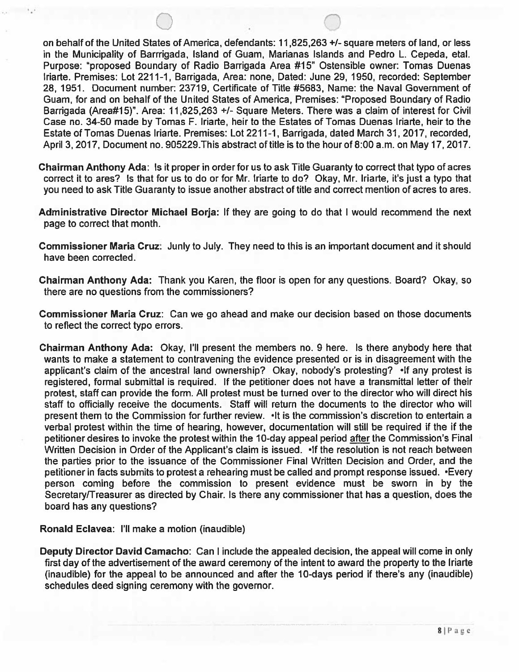on behalf of the United States of America, defendants: 11825,263 +1- square meters of land, or less in the Municipality of Barrrigada, Island of Guam, Marianas Islands and Pedro L. Cepeda, etal. Purpose: "proposed Boundary of Radio Barrigada Area #15" Ostensible owner: Tomas Duenas lriarte. Premises: Lot 2211-1, Barrigada, Area: none, Dated: June 29, 1950, recorded: September 28, 1951. Document number: 23719, Certificate of Title #5683, Name: the Naval Government of Guam, for and on behalf of the United States of America, Premises: "Proposed Boundary of Radio Barrigada (Area#15)". Area: 11,825,263 +/- Square Meters. There was a claim of interest for Civil Case no. 34-50 made by Tomas F. Iriarte, heir to the Estates of Tomas Duenas Iriarte, heir to the Estate of Tomas Duenas Iriarte. Premises: Lot 2211-1, Barrigada, dated March 31, 2017, recorded, April 3, 2017, Document no. 905229. This abstract of title is to the hour of 8:00 a.m. on May 17, 2017.

- Chairman Anthony Ada: Is it proper in order for us to ask Title Guaranty to correct that typo of acres correct it to ares? Is that for us to do or for Mr. Iriarte to do? Okay, Mr. Inane, it's just a typo that you need to ask Title Guaranty to issue another abstract of title and correct mention of acres to ares.
- Administrative Director Michael Borja: If they are going to do that <sup>I</sup> would recommend the next page to correct that month.
- Commissioner Maria Cruz: Junly to July. They need to this is an important document and it should have been corrected.
- Chairman Anthony Ada: Thank you Karen, the floor is open for any questions. Board? Okay, so there are no questions from the commissioners?
- Commissioner Maria Cruz: Can we go ahead and make our decision based on those documents to reflect the correct typo errors.
- Chairman Anthony Ada: Okay, I'll present the members no. 9 here. Is there anybody here that wants to make a statement to contravening the evidence presented or is in disagreement with the applicant's claim of the ancestral land ownership? Okay, nobody's protesting? •If any protest is registered, formal submittal is required. If the petitioner does not have a transmittal letter of their protest, staff can provide the form. All protest must be turned over to the director who will direct his staff to officially receive the documents. Staff will return the documents to the director who will present them to the Commission for further review. •lt is the commission's discretion to entertain a verbal protest within the time of hearing, however, documentation will still be required if the if the petitioner desires to invoke the protest within the 10-day appeal period after the Commission's Final Written Decision in Order of the Applicant's claim is issued. •If the resolution is not reach between the parties prior to the issuance of the Commissioner Final Written Decision and Order, and the petitioner in facts submits to protest a rehearing must be called and prompt response issued. •Every person coming before the commission to present evidence must be sworn in by the Secretary/Treasurer as directed by Chair. Is there any commissioner that has a question, does the board has any questions?

Ronald Eclavea: I'll make a motion (inaudible)

Deputy Director David Camacho: Can <sup>I</sup> include the appealed decision, the appeal will come in only first day of the advertisement of the award ceremony of the intent to award the property to the Iniarte (inaudible) for the appeal to be announced and after the 10-days period if there's any (inaudible) schedules deed signing ceremony with the governor.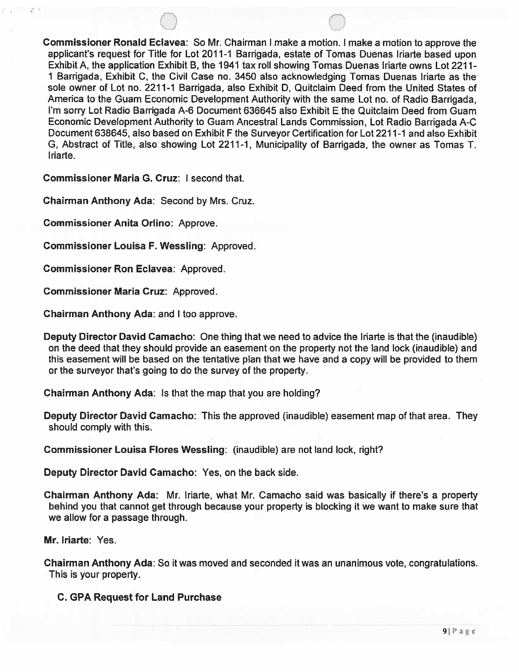Commissioner Ronald Eclavea: So Mr. Chairman <sup>I</sup> make a motion. <sup>I</sup> make a motion to approve the applicant's request for Title for Lot 2011-1 Barrigada, estate of Tomas Duenas Iriarte based upon Exhibit A, the application Exhibit B, the 1941 tax roll showing Tomas Duenas Iriarte owns Lot 2211- <sup>1</sup> Barrigada, Exhibit C, the Civil Case no. 3450 also acknowledging Tomas Duenas Iriarte as the sole owner of Lot no. 2211-1 Barrigada, also Exhibit D, Quitclaim Deed from the United States of America to the Guam Economic Development Authority with the same Lot no. of Radio Barrigada, I'm sorry Lot Radio Barrigada A-6 Document 636645 also Exhibit E the Quitclaim Deed from Guam Economic Development Authority to Guam Ancestral Lands Commission, Lot Radio Barrigada A-C Document 638645, also based on Exhibit <sup>F</sup> the Surveyor Certification for Lot 2211-1 and also Exhibit G, Abstract of Title, also showing Lot 2211-1, Municipality of Barrigada, the owner as Tomas T. Iriarte.

Commissioner Maria G. Cruz: <sup>I</sup> second that.

Chairman Anthony Ada: Second by Mrs. Cruz.

Commissioner Anita Orlino: Approve.

Commissioner Louisa F. Wessling: Approved.

Commissioner Ron Eclavea: Approved.

Commissioner Maria Cruz: Approved.

Chairman Anthony Ada: and <sup>I</sup> too approve.

Deputy Director David Camacho: One thing that we need to advice the Iriarte is that the (inaudible) on the deed that they should provide an easement on the property not the land lock (inaudible) and this easement will be based on the tentative plan that we have and a copy will be provided to them or the surveyor that's going to do the survey of the property.

Chairman Anthony Ada: Is that the map that you are holding?

Deputy Director David Camacho: This the approved (inaudible) easement map of that area. They should comply with this.

Commissioner Louisa Flores Wessling: (inaudible) are not land lock, right?

Deputy Director David Camacho: Yes, on the back side.

Chairman Anthony Ada: Mr. Iriarte, what Mr. Camacho said was basically if there's a property behind you that cannot get through because your property is blocking it we want to make sure that we allow for a passage through.

Mr. Iriarte: Yes.

Chairman Anthony Ada: So it was moved and seconded it was an unanimous vote, congratulations. This is your property.

C. GPA Request for Land Purchase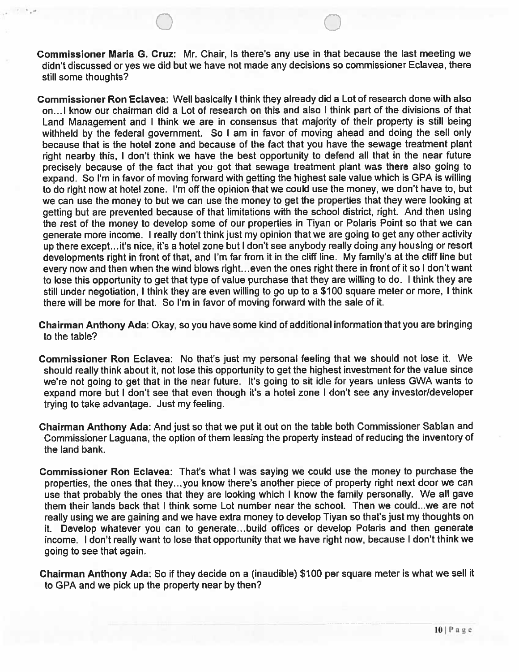Commissioner Maria G. Cruz: Mr. Chair, Is there's any use in that because the last meeting we didn't discussed or yes we did but we have not made any decisions so commissioner Eclavea, there still some thoughts?

Commissioner Ron Eclavea: Well basically <sup>I</sup> think they already did a Lot of research done with also on..] know our chairman did a Lot of research on this and also <sup>I</sup> think part of the divisions of that Land Management and <sup>I</sup> think we are in consensus that majority of their property is still being withheld by the federal government. So I am in favor of moving ahead and doing the sell only because that is the hotel zone and because of the fact that you have the sewage treatment plant right nearby this, <sup>I</sup> don't think we have the best opportunity to defend all that in the near future precisely because of the fact that you got that sewage treatment plant was there also going to expand. So I'm in favor of moving forward with getting the highest sale value which is GPA is willing to do right now at hotel zone. I'm off the opinion that we could use the money, we don't have to, but we can use the money to but we can use the money to get the properties that they were looking at getting but are prevented because of that limitations with the school district, right. And then using the rest of the money to develop some of our properties in Tiyan or Polaris Point so that we can generate more income. <sup>I</sup> really don't think just my opinion that we are going to get any other activity up there except...it's nice, it's a hotel zone but <sup>I</sup> don't see anybody really doing any housing or resort developments right in front of that, and I'm far from it in the cliff line. My family's at the cliff line but every now and then when the wind blows right...even the ones right there in front of it so <sup>I</sup> don't want to lose this opportunity to get that type of value purchase that they are willing to do. <sup>I</sup> think they are still under negotiation, <sup>I</sup> think they are even willing to go up to a \$100 square meter or more, <sup>I</sup> think there will be more for that. So I'm in favor of moving forward with the sale of it.

Chairman Anthony Ada: Okay, so you have some kind of additional information that you are bringing to the table?

Commissioner Ron Eclavea: No that's just my personal feeling that we should not lose it. We should really think about it, not lose this opportunity to get the highest investment for the value since we're not going to get that in the near future. It's going to sit idle for years unless GWA wants to expand more but <sup>I</sup> don't see that even though it's a hotel zone <sup>I</sup> don't see any investor/developer trying to take advantage. Just my feeling.

Chairman Anthony Ada: And just so that we put it out on the table both Commissioner Sablan and Commissioner Laguana, the option of them leasing the property instead of reducing the inventory of the land bank.

Commissioner Ron Eclavea: That's what <sup>I</sup> was saying we could use the money to purchase the properties, the ones that they. ..you know there's another piece of property right next door we can use that probably the ones that they are looking which <sup>I</sup> know the family personally. We all gave them their lands back that <sup>I</sup> think some Lot number near the school. Then we could...we are not really using we are gaining and we have extra money to develop Tiyan so that's just my thoughts on it. Develop whatever you can to generate... build offices or develop Polaris and then generate income. <sup>I</sup> don't really want to lose that opportunity that we have right now, because <sup>I</sup> don't think we going to see that again.

Chairman Anthony Ada: So if they decide on a (inaudible) \$100 per square meter is what we sell it to GPA and we pick up the property near by then?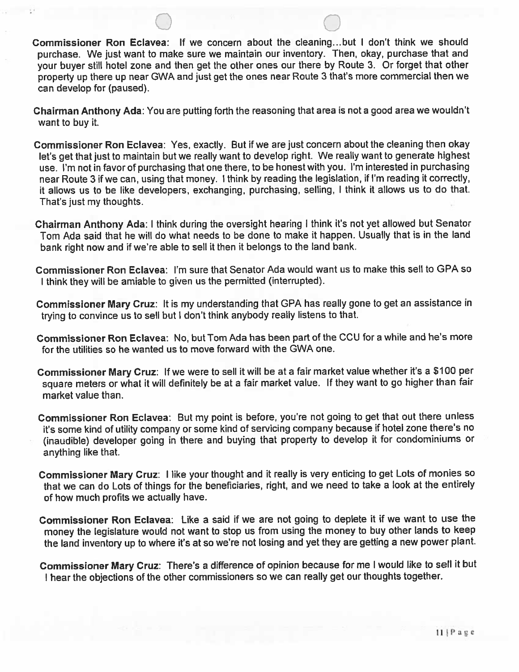Commissioner Ron Eclavea: If we concern about the cleaning.. .but <sup>I</sup> don't think we should purchase. We just want to make sure we maintain our inventory. Then, okay, purchase that and your buyer still hotel zone and then get the other ones our there by Route 3. Or forget that other property up there up near CWA and just get the ones near Route 3 that's more commercial then we can develop for (paused).

Chairman Anthony Ada: You are putting forth the reasoning that area is not a good area we wouldn't want to buy it.

Commissioner Ron Eclavea: Yes, exactly. But if we are just concern about the cleaning then okay let's get that just to maintain but we really want to develop right. We really want to generate highest use. I'm not in favor of purchasing that one there, to be honest with you. I'm interested in purchasing near Route 3 if we can, using that money. I think by reading the legislation, if I'm reading it correctly, it allows us to be like developers, exchanging, purchasing, selling, <sup>I</sup> think it allows us to do that. That's just my thoughts.

Chairman Anthony Ada: <sup>I</sup> think during the oversight hearing <sup>I</sup> think it's not yet allowed but Senator Tom Ada said that he will do what needs to be done to make it happen. Usually that is in the land bank right now and if we're able to sell it then it belongs to the land bank.

Commissioner Ron Eclavea: I'm sure that Senator Ada would want us to make this sell to CPA so <sup>I</sup> think they will be amiable to given us the permitted (interrupted).

Commissioner Mary Cruz: It is my understanding that CPA has really gone to get an assistance in trying to convince us to sell but <sup>I</sup> don't think anybody really listens to that.

Commissioner Ron Eclavea: No, but Tom Ada has been part of the CCU for a while and he's more for the utilities so he wanted us to move forward with the GWA one.

Commissioner Mary Cruz: If we were to sell it will be at a fair market value whether it's <sup>a</sup> \$100 per square meters or what it will definitely be at a fair market value. If they want to go higher than fair market value than.

Commissioner Ron Eclavea: But my point is before, you're not going to get that out there unless it's some kind of utility company or some kind of servicing company because if hotel zone there's no (inaudible) developer going in there and buying that property to develop it for condominiums or anything like that.

Commissioner Mary Cruz: <sup>I</sup> like your thought and it really is very enticing to get Lots of monies so that we can do Lots of things for the beneficiaries, right, and we need to take a look at the entirely of how much profits we actually have.

Commissioner Ron Eclavea: Like a said if we are not going to deplete it if we want to use the money the legislature would not want to stop us from using the money to buy other lands to keep the land inventory up to where it's at so we're not losing and yet they are getting a new power plant.

Commissioner Mary Cruz: There's <sup>a</sup> difference of opinion because for me <sup>I</sup> would like to sell it but <sup>I</sup> hear the objections of the other commissioners so we can really get our thoughts together.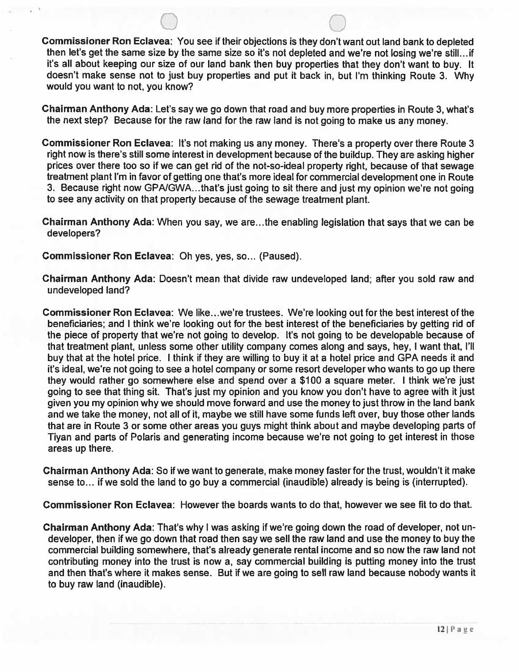Commissioner Ron Eclavea: You see if their objections is they don't want outland bank to depleted then let's get the same size by the same size so it's not depleted and we're not losing we're still.., if it's all about keeping our size of our land bank then buy properties that they don't want to buy. It doesn't make sense not to just buy properties and put it back in, but I'm thinking Route 3. Why would you want to not, you know?

Chairman Anthony Ada: Let's say we go down that road and buy more properties in Route 3, what's the next step? Because for the raw land for the raw land is not going to make us any money.

Commissioner Ron Eclavea: It's not making us any money. There's a property over there Route <sup>3</sup> right now is there's still some interest in development because of the buildup. They are asking higher prices over there too so if we can get rid of the not-so-ideal property right, because of that sewage treatment plant I'm in favor of getting one that's more ideal for commercial development one in Route 3. Because right now GPA/GWA...that's just going to sit there and just my opinion we're not going to see any activity on that property because of the sewage treatment plant.

Chairman Anthony Ada: When you say, we are. ..the enabling legislation that says that we can be developers?

Commissioner Ron Eclavea: Oh yes, yes, so... (Paused).

Chairman Anthony Ada: Doesn't mean that divide raw undeveloped land; after you sold raw and undeveloped land?

Commissioner Ron Eclavea: We Iike...we're trustees. We're looking out for the best interest of the beneficiaries; and <sup>I</sup> think we're looking out for the best interest of the beneficiaries by getting rid of the piece of property that we're not going to develop. It's not going to be developable because of that treatment plant, unless some other utility company comes along and says, hey, <sup>I</sup> want that, I'll buy that at the hotel price. <sup>I</sup> think if they are willing to buy it at a hotel price and GPA needs it and it's ideal, we're not going to see a hotel company or some resort developer who wants to go up there they would rather go somewhere else and spend over a \$100 a square meter. <sup>I</sup> think we're just going to see that thing sit. That's just my opinion and you know you don't have to agree with it just given you my opinion why we should move forward and use the money to just throw in the land bank and we take the money, not all of it, maybe we still have some funds left over, buy those other lands that are in Route 3 or some other areas you guys might think about and maybe developing parts of Tiyan and parts of Polaris and generating income because we're not going to get interest in those areas up there.

Chairman Anthony Ada: So if we want to generate, make money faster for the trust, wouldn't it make sense to... if we sold the land to go buy a commercial (inaudible) already is being is (interrupted).

Commissioner Ron Eclavea: However the boards wants to do that, however we see fit to do that.

Chairman Anthony Ada: That's why <sup>I</sup> was asking if we're going down the road of developer, not un developer, then if we go down that road then say we sell the raw land and use the money to buy the commercial building somewhere, that's already generate rental income and so now the raw land not contributing money into the trust is now a, say commercial building is putting money into the trust and then that's where it makes sense. But if we are going to sell raw land because nobody wants it to buy raw land (inaudible).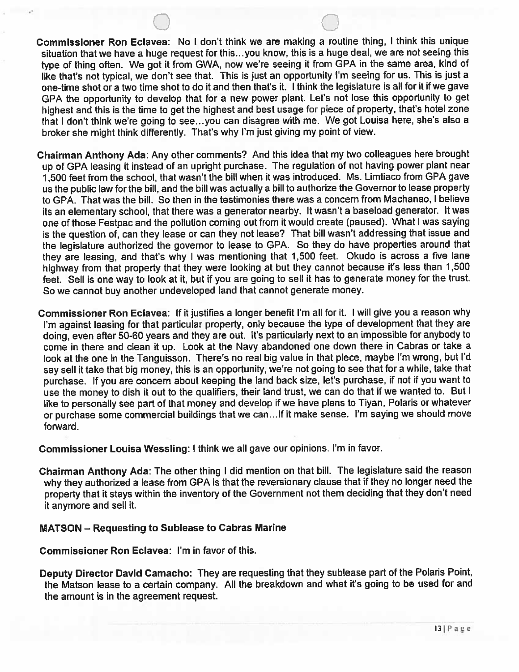- Commissioner Ron Eclavea: No <sup>I</sup> don't think we are making a routine thing, <sup>I</sup> think this unique situation that we have a huge request for this.. .you know, this is a huge deal, we are not seeing this type of thing often. We got it from GWA, now we're seeing it from SPA in the same area, kind of like that's not typical, we don't see that. This is just an opportunity I'm seeing for us. This is just a one-time shot or a two time shot to do it and then that's it. I think the legislature is all for it if we gave CPA the opportunity to develop that for a new power plant. Let's not lose this opportunity to get highest and this is the time to get the highest and best usage for piece of property, that's hotel zone that <sup>I</sup> don't think we're going to see.. .you can disagree with me. We got Louisa here, she's also a broker she might think differently. That's why I'm just giving my point of view.
- Chairman Anthony Ada: Any other comments? And this idea that my two colleagues here brought up of SPA leasing it instead of an upright purchase. The regulation of not having power plant near 1,500 feet from the school, that wasn't the bill when it was introduced. Ms. Limtiaco from CPA gave us the public law for the bill, and the bill was actually a bill to authorize the Governor to lease property to CPA. That was the bill. So then in the testimonies there was a concern from Machanao, <sup>I</sup> believe its an elementary school, that there was a generator nearby. It wasn't a baseload generator. It was one of those Festpac and the pollution coming out from it would create (paused). What <sup>I</sup> was saying is the question of, can they lease or can they not lease? That bill wasn't addressing that issue and the legislature authorized the governor to lease to CPA. So they do have properties around that they are leasing, and that's why <sup>I</sup> was mentioning that 1,50Q feet. Okudo is across a five lane highway from that property that they were looking at but they cannot because it's less than 1,500 feet. Sell is one way to look at it, but if you are going to sell it has to generate money for the trust. So we cannot buy another undeveloped land that cannot generate money.
- Commissioner Ron Eclavea: If it justifies a longer benefit I'm all for it. <sup>I</sup> will give you a reason why I'm against leasing for that particular property, only because the type of development that they are doing, even after 50-60 years and they are out. It's particularly next to an impossible for anybody to come in there and clean it up. Look at the Navy abandoned one down there in Cabras or take a look at the one in the Tanguisson. There's no real big value in that piece, maybe I'm wrong, but I'd say sell it take that big money, this is an opportunity, we're not going to see that for a while, take that purchase. If you are concern about keeping the land back size, let's purchase, if not if you want to use the money to dish it out to the qualifiers, their land trust, we can do that if we wanted to. But <sup>I</sup> like to personally see part of that money and develop if we have plans to Tiyan, Polaris or whatever or purchase some commercial buildings that we can...if it make sense. I'm saying we should move forward.

Commissioner Louisa Wessling: <sup>I</sup> think we all gave our opinions. I'm in favor.

Chairman Anthony Ada: The other thing <sup>I</sup> did mention on that bill. The legislature said the reason why they authorized a lease from CPA is that the reversionary clause that if they no longer need the property that it stays within the inventory of the Government not them deciding that they don't need it anymore and sell it.

### MATSON — Requesting to Sublease to Cabras Marine

Commissioner Ron Eclavea: I'm in favor of this.

Deputy Director David Camacho: They are requesting that they sublease part of the Polaris Point, the Matson lease to a certain company. All the breakdown and what it's going to be used for and the amount is in the agreement request.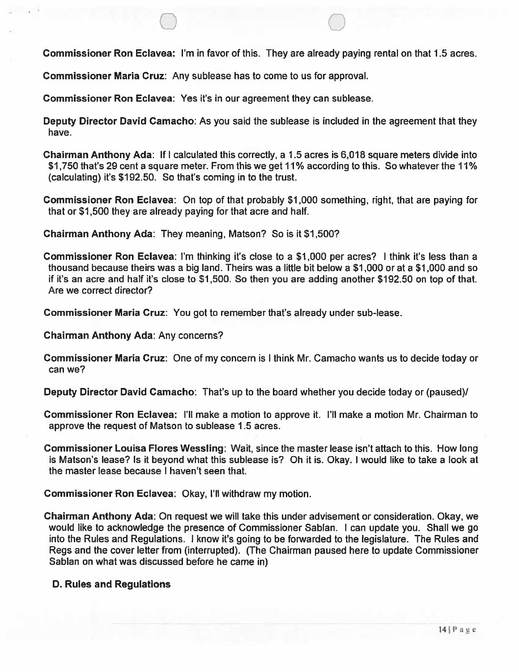Commissioner Ron Eclavea: I'm in favor of this. They are already paying rental on that 1.5 acres.

Commissioner Maria Cruz: Any sublease has to come to us for approval.

Commissioner Ron Eclavea: Yes it's in our agreement they can sublease.

Deputy Director David Camacho: As you said the sublease is included in the agreement that they have.

Chairman Anthony Ada: If <sup>I</sup> calculated this correctly, a 1.5 acres is 6,018 square meters divide into \$1750 that's 29 cent a square meter. From this we get 11% according to this. So whatever the 11% (calculating) it's \$192.50. So that's coming in to the trust.

Commissioner Ron Eclavea: On top of that probably \$1,000 something, right, that are paying for that or \$1,500 they are already paying for that acre and half.

Chairman Anthony Ada: They meaning, Matson? So is it \$1,500?

Commissioner Ron Eclavea: I'm thinking it's close to a \$1,000 per acres? <sup>I</sup> think it's less than a thousand because theirs was a big land. Theirs was a little bit below a \$1,000 or at a \$1,000 and so if it's an acre and half it's close to \$1,500. So then you are adding another \$192.50 on top of that. Are we correct director?

Commissioner Maria Cruz: You got to remember that's already under sub-lease.

Chairman Anthony Ada: Any concerns?

Commissioner Maria Cruz: One of my concern is <sup>I</sup> think Mr. Camacho wants us to decide today or can we?

Deputy Director David Camacho: That's up to the board whether you decide today or (paused)/

Commissioner Ron Eclavea: I'll make a motion to approve it. I'll make a motion Mr. Chairman to approve the request of Matson to sublease 1.5 acres.

Commissioner Louisa Flores Wessling: Wait, since the master lease isn't attach to this. How long is Matson's lease? Is it beyond what this sublease is? Oh it is. Okay. <sup>I</sup> would like to take a look at the master lease because <sup>I</sup> haven't seen that.

Commissioner Ron Eclavea: Okay, I'll withdraw my motion.

Chairman Anthony Ada: On request we will take this under advisement or consideration. Okay, we would like to acknowledge the presence of Commissioner Sablan. <sup>I</sup> can update you. Shall we go into the Rules and Regulations. <sup>I</sup> know it's going to be forwarded to the legislature. The Rules and Regs and the cover letter from (interrupted). (The Chairman paused here to update Commissioner Sablan on what was discussed before he came in)

### D. Rules and Regulations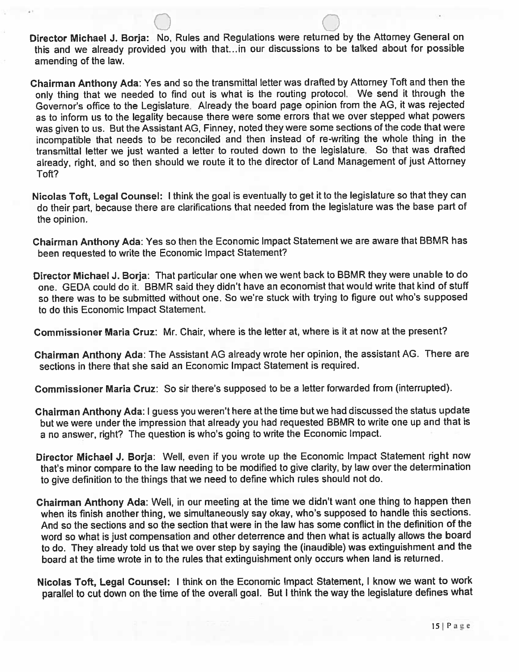Director Michael J. Borja: No, Rules and Regulations were returned by the Attorney General on this and we already provided you with that... in our discussions to be talked about for possible amending of the law.

Chairman Anthony Ada: Yes and so the transmittal letter was drafted by Attorney Taft and then the only thing that we needed to find out is what is the routing protocol. We send it through the Governor's office to the Legislature. Atready the board page opinion from the AG, it was rejected as to inform us to the legality because there were some errors that we over stepped what powers was given to us. But the Assistant AG, Finney, noted they were some sections of the code that were incompatible that needs to be reconciled and then instead of re-writing the whole thing in the transmittal letter we just wanted a letter to routed down to the legislature. So that was drafted already, right, and so then should we route it to the director of Land Management of just Attorney Toft?

Nicolas Toft, Legal Counsel: <sup>I</sup> think the goal is eventually to get it to the legislature so that they can do their part, because there are clarifications that needed from the legislature was the base part of the opinion.

Chairman Anthony Ada: Yes so then the Economic Impact Statement we are aware that BBMR has been requested to write the Economic Impact Statement?

Director Michael J. Borja: That particular one when we went back to BBMR they were unable to do one. GEDA could do it. BBMR said they didn't have an economist that would write that kind of stuff so there was to be submitted without one. So we're stuck with trying to figure out who's supposed to do this Economic Impact Statement.

Commissioner Maria Cruz: Mr. Chair, where is the letter at, where is it at now at the present?

Chairman Anthony Ada: The Assistant AG already wrote her opinion, the assistant AG. There are sections in there that she said an Economic Impact Statement is required.

Commissioner Maria Cruz: So sir there's supposed to be a letter forwarded from (interrupted).

Chairman Anthony Ada: <sup>I</sup> guess you weren't here at the time but we had discussed the status update but we were under the impression that already you had requested BBMR to write one up and that is a no answer, right? The question is who's going to write the Economic Impact.

Director Michael J. Borja: Well, even if you wrote up the Economic Impact Statement right now that's minor compare to the law needing to be modified to give clarity, by law over the determination to give definition to the things that we need to define which rules should not do.

- Chairman Anthony Ada: Well, in our meeting at the time we didn't want one thing to happen then when its finish another thing, we simultaneously say okay, who's supposed to handle this sections. And so the sections and so the section that were in the law has some conflict in the definition of the word so what is lust compensation and other deterrence and then what is actually allows the board to do. They already told us that we over step by saying the (inaudible) was extinguishment and the board at the time wrote in to the rules that extinguishment only occurs when land is returned.
- Nicolas Toft, Legal Counsel: <sup>I</sup> think on the Economic Impact Statement, <sup>I</sup> know we want to work parallel to cut down on the time of the overall goal. But <sup>I</sup> think the way the legislature defines what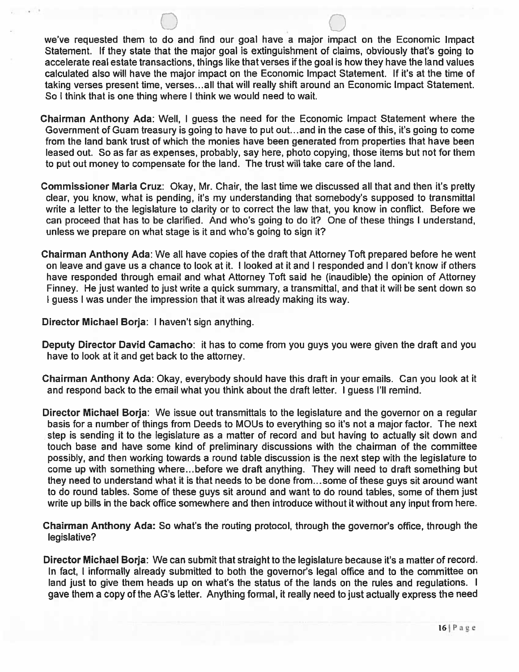we've requested them to do and find our goal have a major impact on the Economic Impact Statement. If they state that the major goal is extinguishment of claims, obviously that's going to accelerate real estate transactions, things like that verses if the goal is how they have the land values calculated also will have the major impact on the Economic Impact Statement. If it's at the time of taking verses present time, verses.., all that will really shift around an Economic Impact Statement. So <sup>I</sup> think that is one thing where <sup>I</sup> think we would need to wait.

- Chairman Anthony Ada: Well, <sup>I</sup> guess the need for the Economic Impact Statement where the Government of Guam treasury is going to have to put out. ..and in the case of this, it's going to come from the land bank trust of which the monies have been generated from properties that have been leased out. So as far as expenses, probably, say here, photo copying, those items but not for them to put out money to compensate for the land. The trust will take care of the land.
- Commissioner Maria Cruz: Okay, Mr. Chair, the last time we discussed all that and then it's pretty clear, you know, what is pending, it's my understanding that somebody's supposed to transmittal write a letter to the legislature to clarity or to correct the law that, you know in conflict. Before we can proceed that has to be clarified. And who's going to do it? One of these things <sup>I</sup> understand, unless we prepare on what stage is it and who's going to sign it?
- Chairman Anthony Ada: We all have copies of the draft that Attorney Toft prepared before he went on leave and gave us a chance to look at it. <sup>I</sup> looked at it and <sup>I</sup> responded and <sup>I</sup> don't know if others have responded through email and what Attorney Toft said he (inaudible) the opinion of Attorney Finney. He just wanted to just write a quick summary, a transmittal, and that it will be sent down so <sup>I</sup> guess <sup>I</sup> was under the impression that it was already making its way.

Director Michael Borja: <sup>I</sup> haven't sign anything.

- Deputy Director David Camacho: it has to come from you guys you were given the draft and you have to look at it and get back to the attorney.
- Chairman Anthony Ada: Okay, everybody should have this draft in your emails. Can you look at it and respond back to the email what you think about the draft letter. <sup>I</sup> guess I'll remind.
- Director Michael Borja: We issue out transmittals to the legislature and the governor on a regular basis for a number of things from Deeds to MOUs to everything so it's not a major factor. The next step is sending it to the legislature as a matter of record and but having to actually sit down and touch base and have some kind of preliminary discussions with the chairman of the committee possibly, and then working towards a round table discussion is the next step with the legislature to come up with something where.. .before we draft anything. They will need to draft something but they need to understand what it is that needs to be done from... some of these guys sit around want to do round tables. Some of these guys sit around and want to do round tables, some of them just write up bills in the back office somewhere and then introduce without it without any input from here.
- Chairman Anthony Ada: So what's the routing protocol, through the governor's office, through the legislative?
- Director Michael Borja: We can submit that straight to the legislature because it's a matter of record. In fact, <sup>I</sup> informally already submitted to both the governor's legal office and to the committee on land just to give them heads up on what's the status of the lands on the rules and regulations. <sup>I</sup> gave them a copy of the AG's letter. Anything formal, it really need to just actually express the need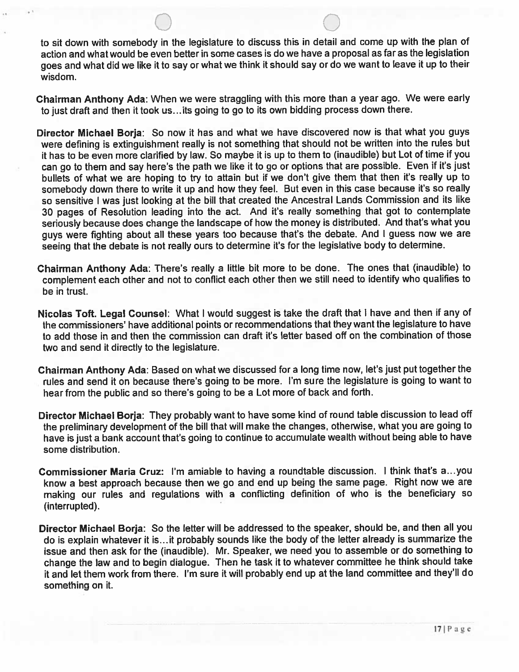to sit down with somebody in the legislature to discuss this in detail and come up with the plan of action and what would be even better in some cases is do we have a proposal as far as the legislation goes and what did we like it to say or what we think it should say or do we want to leave it up to their wisdom.

Chairman Anthony Ada: When we were straggling with this more than a year ago. We were early to just draft and then it took us.. .its going to go to its own bidding process down there.

- Director Michael Borja: So now it has and what we have discovered now is that what you guys were defining is extinguishment really is not something that should not be written into the rules but it has to be even more clarified by law. So maybe it is up to them to (inaudible) but Lot of time if you can go to them and say here's the path we like it to go or options that are possible. Even if it's just bullets of what we are hoping to try to attain but if we don't give them that then it's really up to somebody down there to write it up and how they feel. But even in this case because it's so really so sensitive <sup>I</sup> was just looking at the bill that created the Ancestral Lands Commission and its like 30 pages of Resolution leading into the act. And it's really something that got to contemplate seriously because does change the landscape of how the money is distributed. And that's what you guys were fighting about all these years too because that's the debate. And <sup>I</sup> guess now we are seeing that the debate is not really ours to determine it's for the legislative body to determine.
- Chairman Anthony Ada: There's really a little bit more to be done. The ones that (inaudible) to complement each other and not to conflict each other then we still need to identify who qualifies to be in trust.
- Nicolas Toft. Legal Counsel: What <sup>I</sup> would suggest is take the draft that <sup>I</sup> have and then if any of the commissioners' have additional points or recommendations that they want the legislature to have to add those in and then the commission can draft it's letter based off on the combination of those two and send it directly to the legislature.
- Chairman Anthony Ada: Based on what we discussed for a long time now, let's just put together the rules and send it on because there's going to be more. I'm sure the legislature is going to want to hear from the public and so there's going to be a Lot more of back and forth.
- Director Michael Borja: They probably want to have some kind of round table discussion to lead off the preliminary development of the bill that will make the changes, otherwise, what you are going to have is just a bank account that's going to continue to accumulate wealth without being able to have some distribution.
- Commissioner Maria Cruz: I'm amiable to having a roundtable discussion. <sup>I</sup> think that's a.. .you know a best approach because then we go and end up being the same page. Right now we are making our rules and regulations with a conflicting definition of who is the beneficiary so (interrupted).
- Director Michael Borja: So the letter will be addressed to the speaker, should be, and then all you do is explain whatever it is. ..it probably sounds like the body of the letter already is summarize the issue and then ask for the (inaudible). Mr. Speaker, we need you to assemble or do something to change the law and to begin dialogue. Then he task it to whatever committee he think should take it and let them work from there. I'm sure it will probably end up at the land committee and they'll do something on it.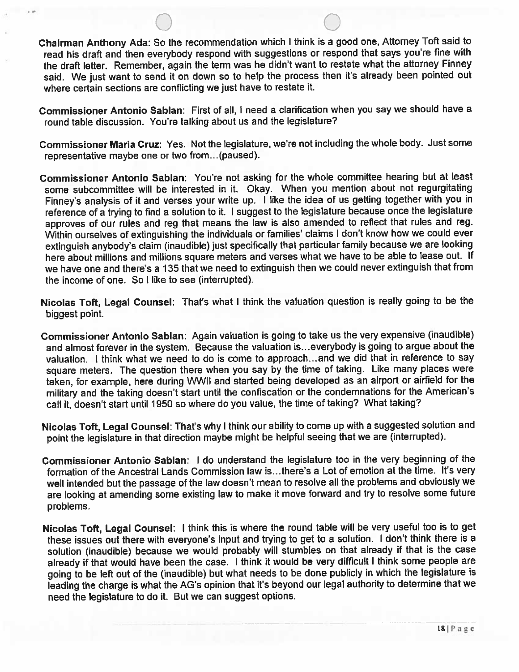Chairman Anthony Ada: So the recommendation which <sup>I</sup> think is <sup>a</sup> goo<sup>d</sup> one, Attorney Toft said to read his draft and then everybody respon<sup>d</sup> with suggestions or respon<sup>d</sup> that says you're fine with the draft letter. Remember, again the term was he didn't want to restate what the attorney Finney said. We just want to send it on down so to help the process then it's already been pointed out where certain sections are conflicting we just have to restate it.

- Commissioner Antonio Sablan: First of all, <sup>I</sup> need <sup>a</sup> clarification when you say we should have <sup>a</sup> round table discussion. You're talking about us and the legislature?
- Commissioner Maria Cruz: Yes. Not the legislature, we're not including the whole body. Just some representative maybe one or two from... (paused).
- Commissioner Antonio Sablan: You're not asking for the whole committee hearing but at least some subcommittee will be interested in it. Okay. When you mention about not regurgitating Finney's analysis of it and verses your write up. <sup>I</sup> like the idea of us getting together with you in reference of a trying to find a solution to it. I suggest to the legislature because once the legislature approves of our rules and reg that means the law is also amended to reflect that rules and reg. Within ourselves of extinguishing the individuals or families' claims <sup>I</sup> don't know how we could ever extinguish anybody's claim (inaudible) just specifically that particular family because we are looking here about millions and millions square meters and verses what we have to be able to lease out. If we have one and there's <sup>a</sup> 135 that we need to extinguish then we could never extinguish that from the income of one. So I like to see (interrupted).
- Nicolas Toft, Legal Counsel: That's what <sup>I</sup> think the valuation question is really going to be the biggest point.
- Commissioner Antonio Sablan: Again valuation is going to take us the very expensive (inaudible) and almost forever in the system. Because the valuation is...everybody is going to argue about the valuation. <sup>I</sup> think what we need to do is come to approach. ..and we did that in reference to say square meters. The question there when you say by the time of taking. Like many <sup>p</sup>laces were taken, for example, here during WWII and started being developed as an airport or airfield for the military and the taking doesn't start until the confiscation or the condemnations for the American's call it, doesn't start until <sup>1950</sup> so where do you value, the time of taking? What taking?
- Nicolas Toft, Legal Counsel: That's why <sup>I</sup> think our ability to come up with <sup>a</sup> suggested solution and point the legislature in that direction maybe might be helpful seeing that we are (interrupted).
- Commissioner Antonio Sablan: <sup>I</sup> do understand the legislature too in the very beginning of the formation of the Ancestral Lands Commission law is.. .there's <sup>a</sup> Lot of emotion at the time. It's very well intended but the passage of the law doesn't mean to resolve all the problems and obviously we are looking at amending some existing law to make it move forward and try to resolve some future problems.
- Nicolas Toft, Legal Counsel: <sup>I</sup> think this is where the round table will be very useful too is to ge<sup>t</sup> these issues out there with everyone's input and trying to ge<sup>t</sup> to <sup>a</sup> solution. <sup>I</sup> don't think there is <sup>a</sup> solution (inaudible) because we would probably will stumbles on that already if that is the case already if that would have been the case. <sup>I</sup> think it would be very difficult <sup>I</sup> think some people are going to be left out of the (inaudible) but what needs to be done publicly in which the legislature is leading the charge is what the AG's opinion that it's beyond our legal authority to determine that we need the legislature to do it. But we can sugges<sup>t</sup> options.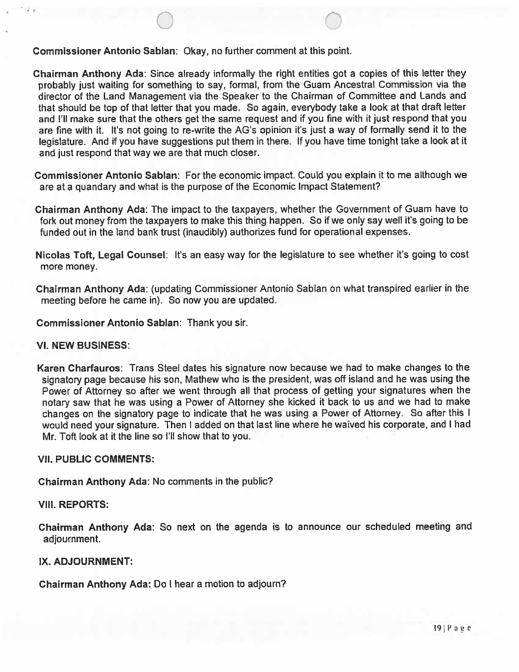Commissioner Antonio Sablan: Okay, no further comment at this point.

Chairman Anthony Ada: Since already informally the right entities got a copies of this letter they probably just waiting for something to say, formal, from the Guam Ancestral Commission via the director of the Land Management via the Speaker to the Chairman of Committee and Lands and that should be top of that letter that you made. So again, everybody take a look at that draft letter and I'll make sure that the others get the same request and if you fine with it just respond that you are fine with it. It's not going to re-write the AG's opinion it's just a way of formally send it to the legislature. And if you have suggestions put them in there. If you have time tonight take a look at it and just respond that way we are that much closer.

Commissioner Antonio Sablan: For the economic impact. Could you explain it to me although we are at a quandary and what is the purpose of the Economic Impact Statement?

Chairman Anthony Ada: The impact to the taxpayers, whether the Government of Guam have to fork out money from the taxpayers to make this thing happen. So if we only say well it's going to be funded out in the land bank trust (inaudibly) authorizes fund for operational expenses.

Nicolas Toft, Legal Counsel: It's an easy way for the legislature to see whether it's going to cost more money.

Chairman Anthony Ada: (updating Commissioner Antonio Sablan on what transpired earlier in the meeting before he came in). So now you are updated.

Commissioner Antonio Sablan: Thank you sir.

#### VI. NEW BUSINESS:

Karen Charfauros: Trans Steel dates his signature now because we had to make changes to the signatory page because his son, Mathew who is the president, was off island and he was using the Power of Attorney so after we went through all that process of getting your signatures when the notary saw that he was using a Power of Attorney she kicked it back to us and we had to make changes on the signatory page to indicate that he was using a Power of Attorney. So after this <sup>I</sup> would need your signature. Then <sup>I</sup> added on that last line where he waived his corporate, and <sup>I</sup> had Mr. Toft look at it the line so I'll show that to you.

### VII. PUBLIC COMMENTS:

Chairman Anthony Ada: No comments in the public?

VIII. REPORTS:

Chairman Anthony Ada: So next on the agenda is to announce our scheduled meeting and adjournment.

### IX. ADJOURNMENT:

Chairman Anthony Ada: Do <sup>I</sup> hear a motion to adjourn?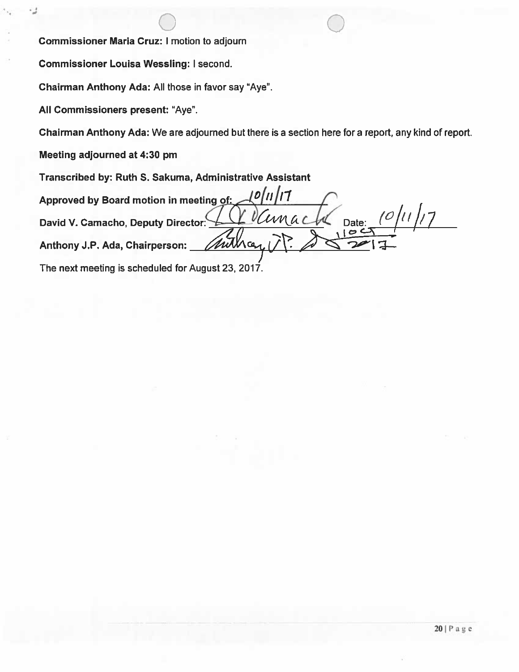0 Commissioner Maria Cruz: <sup>I</sup> motion to adjourn

Commissioner Louisa Wessling: <sup>I</sup> second.

Chairman Anthony Ada: All those in favor say "Aye".

All Commissioners present: "Aye".

Chairman Anthony Ada: We are adjourned but there is a section here for a report, any kind of report.

Meeting adjourned at 4:30 pm

Transcribed by: Ruth S. Sakuma, Administrative Assistant

Approved by Board motion in meeting of:  $\Box$ David V. Camacho, Deputy Director:  $\Box$  Vanach Date: (0/11/17) mitha Anthony J.P. Ada, Chairperson: The next meeting is scheduled for August 23, 2017.